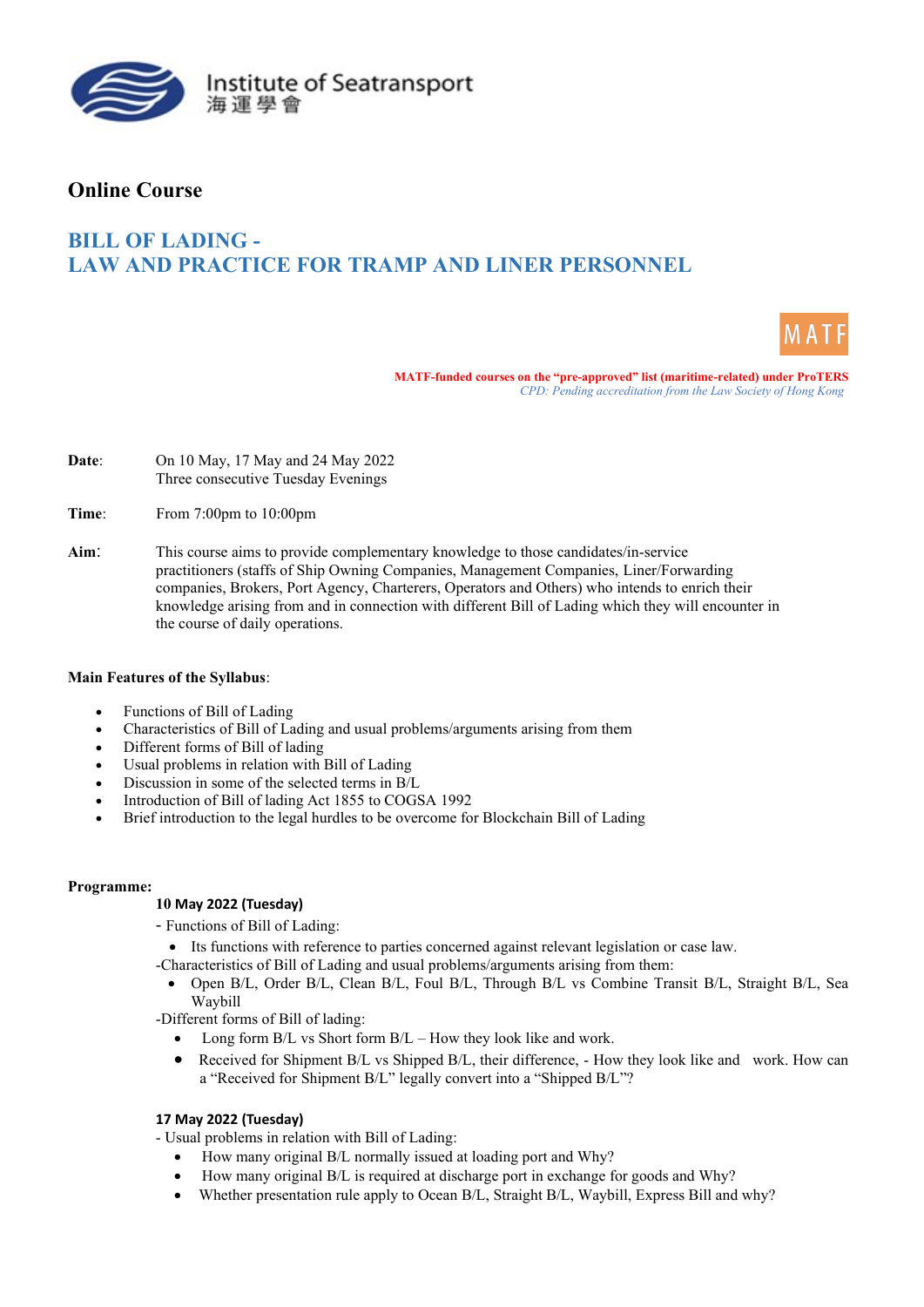

# **Online Course**

# **BILL OF LADING - LAW AND PRACTICE FOR TRAMP AND LINER PERSONNEL**



**MATF-funded courses on the "pre-approved" list (maritime-related) under ProTERS** *CPD: Pending accreditation from the Law Society of Hong Kong* 

- **Date**: On 10 May, 17 May and 24 May 2022 Three consecutive Tuesday Evenings
- **Time**: From 7:00pm to 10:00pm
- **Aim**: This course aims to provide complementary knowledge to those candidates/in-service practitioners (staffs of Ship Owning Companies, Management Companies, Liner/Forwarding companies, Brokers, Port Agency, Charterers, Operators and Others) who intends to enrich their knowledge arising from and in connection with different Bill of Lading which they will encounter in the course of daily operations.

### **Main Features of the Syllabus**:

- Functions of Bill of Lading
- Characteristics of Bill of Lading and usual problems/arguments arising from them
- Different forms of Bill of lading
- Usual problems in relation with Bill of Lading
- Discussion in some of the selected terms in B/L
- Introduction of Bill of lading Act 1855 to COGSA 1992
- Brief introduction to the legal hurdles to be overcome for Blockchain Bill of Lading

### **Programme:**

# **10 May 2022 (Tuesday)**

- Functions of Bill of Lading:

• Its functions with reference to parties concerned against relevant legislation or case law.

-Characteristics of Bill of Lading and usual problems/arguments arising from them:

• Open B/L, Order B/L, Clean B/L, Foul B/L, Through B/L vs Combine Transit B/L, Straight B/L, Sea Waybill

-Different forms of Bill of lading:

- Long form B/L vs Short form B/L How they look like and work.
- Received for Shipment B/L vs Shipped B/L, their difference, How they look like and work. How can a "Received for Shipment B/L" legally convert into a "Shipped B/L"?

# **17 May 2022 (Tuesday)**

- Usual problems in relation with Bill of Lading:

- How many original B/L normally issued at loading port and Why?
- How many original B/L is required at discharge port in exchange for goods and Why?
- Whether presentation rule apply to Ocean B/L, Straight B/L, Waybill, Express Bill and why?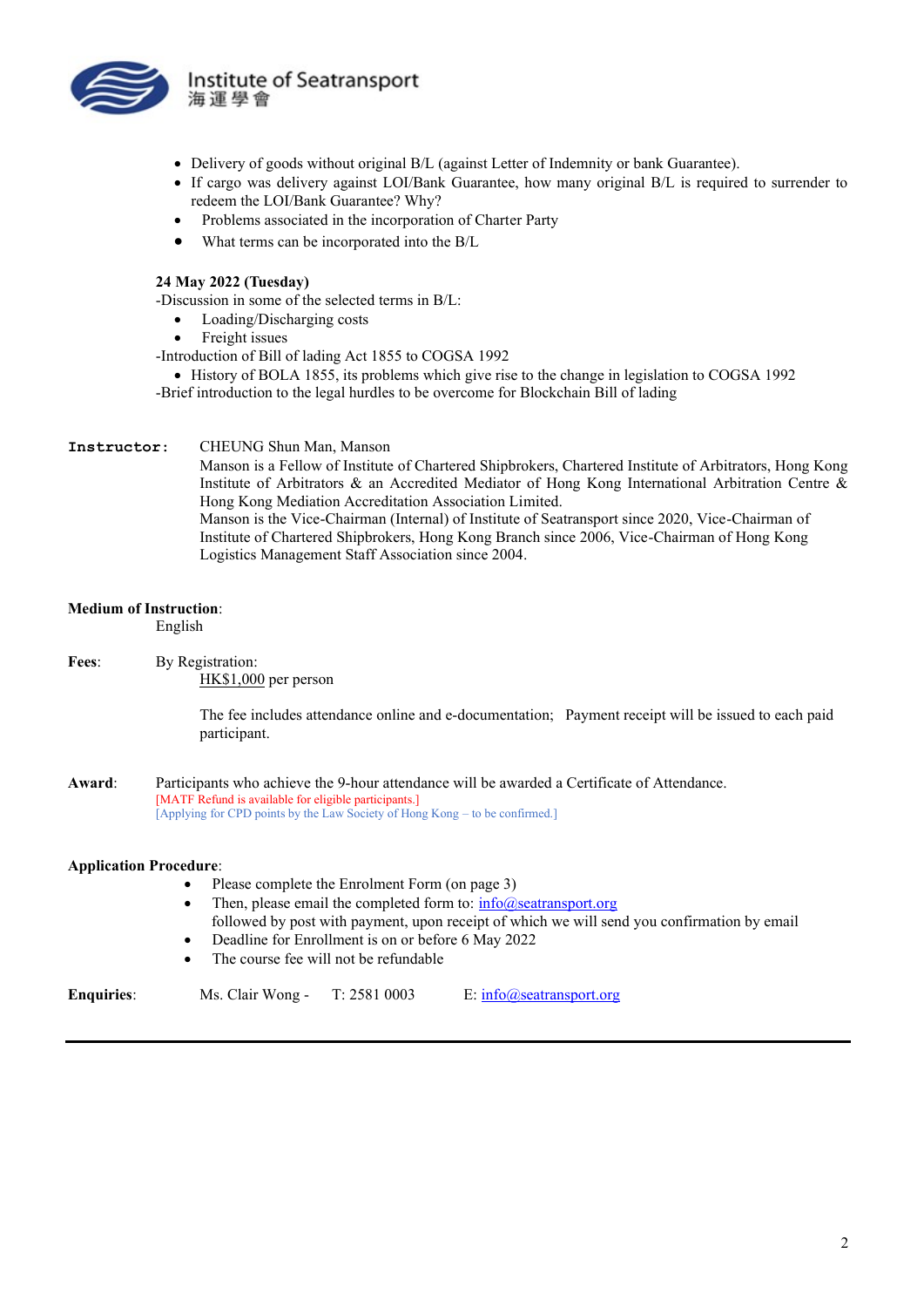

- Delivery of goods without original B/L (against Letter of Indemnity or bank Guarantee).
- If cargo was delivery against LOI/Bank Guarantee, how many original B/L is required to surrender to redeem the LOI/Bank Guarantee? Why?
- Problems associated in the incorporation of Charter Party
- What terms can be incorporated into the B/L

### **24 May 2022 (Tuesday)**

-Discussion in some of the selected terms in B/L:

- Loading/Discharging costs
- Freight issues
- -Introduction of Bill of lading Act 1855 to COGSA 1992
- History of BOLA 1855, its problems which give rise to the change in legislation to COGSA 1992 -Brief introduction to the legal hurdles to be overcome for Blockchain Bill of lading

#### **Instructor**: CHEUNG Shun Man, Manson

Manson is a Fellow of Institute of Chartered Shipbrokers, Chartered Institute of Arbitrators, Hong Kong Institute of Arbitrators & an Accredited Mediator of Hong Kong International Arbitration Centre & Hong Kong Mediation Accreditation Association Limited. Manson is the Vice-Chairman (Internal) of Institute of Seatransport since 2020, Vice-Chairman of Institute of Chartered Shipbrokers, Hong Kong Branch since 2006, Vice-Chairman of Hong Kong Logistics Management Staff Association since 2004.

### **Medium of Instruction**:

English

**Fees**: By Registration: HK\$1,000 per person

> The fee includes attendance online and e-documentation; Payment receipt will be issued to each paid participant.

**Award**: Participants who achieve the 9-hour attendance will be awarded a Certificate of Attendance. [MATF Refund is available for eligible participants.] [Applying for CPD points by the Law Society of Hong Kong – to be confirmed.]

#### **Application Procedure**:

- Please complete the Enrolment Form (on page 3)
- Then, please email the completed form to:  $\frac{info(Q)\text{seatransport.org}}{info(Q)\text{seatransport.org}}$ followed by post with payment, upon receipt of which we will send you confirmation by email
- Deadline for Enrollment is on or before 6 May 2022
- The course fee will not be refundable

| <b>Enquiries:</b> | Ms. Clair Wong - | T: 2581 0003 | E: $info(a)$ seatransport.org |
|-------------------|------------------|--------------|-------------------------------|
|                   |                  |              |                               |